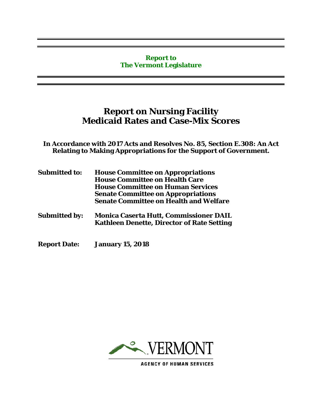#### **Report to The Vermont Legislature**

# **Report on Nursing Facility Medicaid Rates and Case-Mix Scores**

**In Accordance with 2017 Acts and Resolves No. 85, Section E.308: An Act Relating to Making Appropriations for the Support of Government.**

| <b>Submitted to:</b> | <b>House Committee on Appropriations</b><br><b>House Committee on Health Care</b>                  |
|----------------------|----------------------------------------------------------------------------------------------------|
|                      | <b>House Committee on Human Services</b>                                                           |
|                      | <b>Senate Committee on Appropriations</b>                                                          |
|                      | <b>Senate Committee on Health and Welfare</b>                                                      |
| <b>Submitted by:</b> | <b>Monica Caserta Hutt, Commissioner DAIL</b><br><b>Kathleen Denette, Director of Rate Setting</b> |

**Report Date: January 15, 2018**



**AGENCY OF HUMAN SERVICES**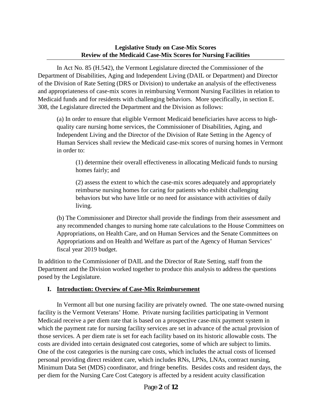#### **Legislative Study on Case-Mix Scores Review of the Medicaid Case-Mix Scores for Nursing Facilities**

In Act No. 85 (H.542), the Vermont Legislature directed the Commissioner of the Department of Disabilities, Aging and Independent Living (DAIL or Department) and Director of the Division of Rate Setting (DRS or Division) to undertake an analysis of the effectiveness and appropriateness of case-mix scores in reimbursing Vermont Nursing Facilities in relation to Medicaid funds and for residents with challenging behaviors. More specifically, in section E. 308, the Legislature directed the Department and the Division as follows:

(a) In order to ensure that eligible Vermont Medicaid beneficiaries have access to highquality care nursing home services, the Commissioner of Disabilities, Aging, and Independent Living and the Director of the Division of Rate Setting in the Agency of Human Services shall review the Medicaid case-mix scores of nursing homes in Vermont in order to:

(1) determine their overall effectiveness in allocating Medicaid funds to nursing homes fairly; and

(2) assess the extent to which the case-mix scores adequately and appropriately reimburse nursing homes for caring for patients who exhibit challenging behaviors but who have little or no need for assistance with activities of daily living.

(b) The Commissioner and Director shall provide the findings from their assessment and any recommended changes to nursing home rate calculations to the House Committees on Appropriations, on Health Care, and on Human Services and the Senate Committees on Appropriations and on Health and Welfare as part of the Agency of Human Services' fiscal year 2019 budget.

In addition to the Commissioner of DAIL and the Director of Rate Setting, staff from the Department and the Division worked together to produce this analysis to address the questions posed by the Legislature.

## **I. Introduction: Overview of Case-Mix Reimbursement**

In Vermont all but one nursing facility are privately owned. The one state-owned nursing facility is the Vermont Veterans' Home. Private nursing facilities participating in Vermont Medicaid receive a per diem rate that is based on a prospective case-mix payment system in which the payment rate for nursing facility services are set in advance of the actual provision of those services. A per diem rate is set for each facility based on its historic allowable costs. The costs are divided into certain designated cost categories, some of which are subject to limits. One of the cost categories is the nursing care costs, which includes the actual costs of licensed personal providing direct resident care, which includes RNs, LPNs, LNAs, contract nursing, Minimum Data Set (MDS) coordinator, and fringe benefits. Besides costs and resident days, the per diem for the Nursing Care Cost Category is affected by a resident acuity classification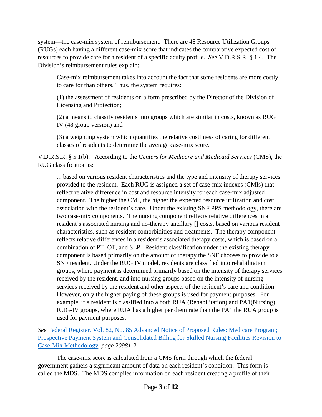system—the case-mix system of reimbursement. There are 48 Resource Utilization Groups (RUGs) each having a different case-mix score that indicates the comparative expected cost of resources to provide care for a resident of a specific acuity profile. *See* V.D.R.S.R. § 1.4. The Division's reimbursement rules explain:

Case-mix reimbursement takes into account the fact that some residents are more costly to care for than others. Thus, the system requires:

(1) the assessment of residents on a form prescribed by the Director of the Division of Licensing and Protection;

(2) a means to classify residents into groups which are similar in costs, known as RUG IV (48 group version) and

(3) a weighting system which quantifies the relative costliness of caring for different classes of residents to determine the average case-mix score.

V.D.R.S.R. § 5.1(b). According to the *Centers for Medicare and Medicaid Services* (CMS), the RUG classification is:

…based on various resident characteristics and the type and intensity of therapy services provided to the resident. Each RUG is assigned a set of case-mix indexes (CMIs) that reflect relative difference in cost and resource intensity for each case-mix adjusted component. The higher the CMI, the higher the expected resource utilization and cost association with the resident's care. Under the existing SNF PPS methodology, there are two case-mix components. The nursing component reflects relative differences in a resident's associated nursing and no-therapy ancillary [] costs, based on various resident characteristics, such as resident comorbidities and treatments. The therapy component reflects relative differences in a resident's associated therapy costs, which is based on a combination of PT, OT, and SLP. Resident classification under the existing therapy component is based primarily on the amount of therapy the SNF chooses to provide to a SNF resident. Under the RUG IV model, residents are classified into rehabilitation groups, where payment is determined primarily based on the intensity of therapy services received by the resident, and into nursing groups based on the intensity of nursing services received by the resident and other aspects of the resident's care and condition. However, only the higher paying of these groups is used for payment purposes. For example, if a resident is classified into a both RUA (Rehabilitation) and PA1(Nursing) RUG-IV groups, where RUA has a higher per diem rate than the PA1 the RUA group is used for payment purposes.

*See* [Federal Register, Vol. 82, No. 85 Advanced Notice of Proposed Rules: Medicare Program;](https://www.gpo.gov/fdsys/pkg/FR-2017-05-04/pdf/2017-08519.pdf)  [Prospective Payment System and Consolidated Billing for Skilled Nursing Facilities Revision to](https://www.gpo.gov/fdsys/pkg/FR-2017-05-04/pdf/2017-08519.pdf)  [Case-Mix Methodology](https://www.gpo.gov/fdsys/pkg/FR-2017-05-04/pdf/2017-08519.pdf)*, page 20981-2.* 

The case-mix score is calculated from a CMS form through which the federal government gathers a significant amount of data on each resident's condition. This form is called the MDS. The MDS compiles information on each resident creating a profile of their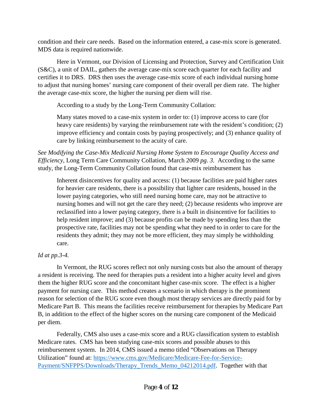condition and their care needs. Based on the information entered, a case-mix score is generated. MDS data is required nationwide.

Here in Vermont, our Division of Licensing and Protection, Survey and Certification Unit (S&C), a unit of DAIL, gathers the average case-mix score each quarter for each facility and certifies it to DRS. DRS then uses the average case-mix score of each individual nursing home to adjust that nursing homes' nursing care component of their overall per diem rate. The higher the average case-mix score, the higher the nursing per diem will rise.

According to a study by the Long-Term Community Collation:

Many states moved to a case-mix system in order to: (1) improve access to care (for heavy care residents) by varying the reimbursement rate with the resident's condition; (2) improve efficiency and contain costs by paying prospectively; and (3) enhance quality of care by linking reimbursement to the acuity of care.

*See [Modifying the Case-Mix Medicaid Nursing Home System to Encourage Quality Access and](http://nursinghome411.org/wp-content/uploads/2017/03/final-report-ny-color-7-15-10.pdf)  [Efficiency](http://nursinghome411.org/wp-content/uploads/2017/03/final-report-ny-color-7-15-10.pdf)*, Long Term Care Community Collation*,* March 2009 *pg. 3.* According to the same study, the Long-Term Community Collation found that case-mix reimbursement has

Inherent disincentives for quality and access: (1) because facilities are paid higher rates for heavier care residents, there is a possibility that lighter care residents, housed in the lower paying categories, who still need nursing home care, may not be attractive to nursing homes and will not get the care they need; (2) because residents who improve are reclassified into a lower paying category, there is a built in disincentive for facilities to help resident improve; and (3) because profits can be made by spending less than the prospective rate, facilities may not be spending what they need to in order to care for the residents they admit; they may not be more efficient, they may simply be withholding care.

# *Id at pp.3-4.*

In Vermont, the RUG scores reflect not only nursing costs but also the amount of therapy a resident is receiving. The need for therapies puts a resident into a higher acuity level and gives them the higher RUG score and the concomitant higher case-mix score. The effect is a higher payment for nursing care. This method creates a scenario in which therapy is the prominent reason for selection of the RUG score even though most therapy services are directly paid for by Medicare Part B. This means the facilities receive reimbursement for therapies by Medicare Part B, in addition to the effect of the higher scores on the nursing care component of the Medicaid per diem.

Federally, CMS also uses a case-mix score and a RUG classification system to establish Medicare rates. CMS has been studying case-mix scores and possible abuses to this reimbursement system. In 2014, CMS issued a memo titled "Observations on Therapy Utilization" found at: [https://www.cms.gov/Medicare/Medicare-Fee-for-Service-](https://www.cms.gov/Medicare/Medicare-Fee-for-Service-Payment/SNFPPS/Downloads/Therapy_Trends_Memo_04212014.pdf)Payment/SNFPPS/Downloads/Therapy Trends Memo 04212014.pdf. Together with that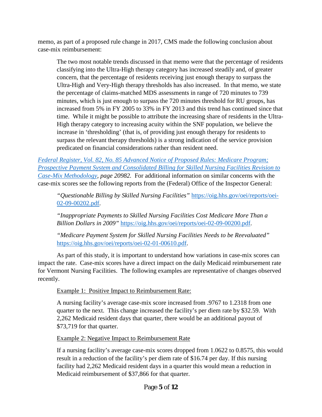memo, as part of a proposed rule change in 2017, CMS made the following conclusion about case-mix reimbursement:

The two most notable trends discussed in that memo were that the percentage of residents classifying into the Ultra-High therapy category has increased steadily and, of greater concern, that the percentage of residents receiving just enough therapy to surpass the Ultra-High and Very-High therapy thresholds has also increased. In that memo, we state the percentage of claims-matched MDS assessments in range of 720 minutes to 739 minutes, which is just enough to surpass the 720 minutes threshold for RU groups, has increased from 5% in FY 2005 to 33% in FY 2013 and this trend has continued since that time. While it might be possible to attribute the increasing share of residents in the Ultra-High therapy category to increasing acuity within the SNF population, we believe the increase in 'thresholding' (that is, of providing just enough therapy for residents to surpass the relevant therapy thresholds) is a strong indication of the service provision predicated on financial considerations rather than resident need.

*[Federal Register, Vol. 82, No. 85 Advanced Notice of Proposed Rules: Medicare Program;](https://www.gpo.gov/fdsys/pkg/FR-2017-05-04/pdf/2017-08519.pdf)  [Prospective Payment System and Consolidated Billing for Skilled Nursing Facilities Revision to](https://www.gpo.gov/fdsys/pkg/FR-2017-05-04/pdf/2017-08519.pdf)  [Case-Mix Methodology,](https://www.gpo.gov/fdsys/pkg/FR-2017-05-04/pdf/2017-08519.pdf) page 20982.* For additional information on similar concerns with the case-mix scores see the following reports from the (Federal) Office of the Inspector General:

*"Questionable Billing by Skilled Nursing Facilities"* [https://oig.hhs.gov/oei/reports/oei-](https://oig.hhs.gov/oei/reports/oei-02-09-00202.pdf)[02-09-00202.pdf.](https://oig.hhs.gov/oei/reports/oei-02-09-00202.pdf)

*"Inappropriate Payments to Skilled Nursing Facilities Cost Medicare More Than a Billion Dollars in 2009"* [https://oig.hhs.gov/oei/reports/oei-02-09-00200.pdf.](https://oig.hhs.gov/oei/reports/oei-02-09-00200.pdf)

*"Medicare Payment System for Skilled Nursing Facilities Needs to be Reevaluated"*  [https://oig.hhs.gov/oei/reports/oei-02-01-00610.pdf.](https://oig.hhs.gov/oei/reports/oei-02-01-00610.pdf)

As part of this study, it is important to understand how variations in case-mix scores can impact the rate. Case-mix scores have a direct impact on the daily Medicaid reimbursement rate for Vermont Nursing Facilities. The following examples are representative of changes observed recently.

## Example 1: Positive Impact to Reimbursement Rate:

A nursing facility's average case-mix score increased from .9767 to 1.2318 from one quarter to the next. This change increased the facility's per diem rate by \$32.59. With 2,262 Medicaid resident days that quarter, there would be an additional payout of \$73,719 for that quarter.

Example 2: Negative Impact to Reimbursement Rate

If a nursing facility's average case-mix scores dropped from 1.0622 to 0.8575, this would result in a reduction of the facility's per diem rate of \$16.74 per day. If this nursing facility had 2,262 Medicaid resident days in a quarter this would mean a reduction in Medicaid reimbursement of \$37,866 for that quarter.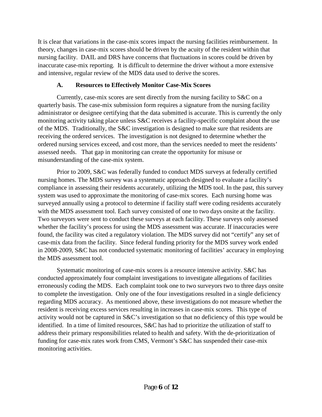It is clear that variations in the case-mix scores impact the nursing facilities reimbursement. In theory, changes in case-mix scores should be driven by the acuity of the resident within that nursing facility. DAIL and DRS have concerns that fluctuations in scores could be driven by inaccurate case-mix reporting. It is difficult to determine the driver without a more extensive and intensive, regular review of the MDS data used to derive the scores.

## **A. Resources to Effectively Monitor Case-Mix Scores**

Currently, case-mix scores are sent directly from the nursing facility to S&C on a quarterly basis. The case-mix submission form requires a signature from the nursing facility administrator or designee certifying that the data submitted is accurate. This is currently the only monitoring activity taking place unless S&C receives a facility-specific complaint about the use of the MDS. Traditionally, the S&C investigation is designed to make sure that residents are receiving the ordered services. The investigation is not designed to determine whether the ordered nursing services exceed, and cost more, than the services needed to meet the residents' assessed needs. That gap in monitoring can create the opportunity for misuse or misunderstanding of the case-mix system.

Prior to 2009, S&C was federally funded to conduct MDS surveys at federally certified nursing homes. The MDS survey was a systematic approach designed to evaluate a facility's compliance in assessing their residents accurately, utilizing the MDS tool. In the past, this survey system was used to approximate the monitoring of case-mix scores. Each nursing home was surveyed annually using a protocol to determine if facility staff were coding residents accurately with the MDS assessment tool. Each survey consisted of one to two days onsite at the facility. Two surveyors were sent to conduct these surveys at each facility. These surveys only assessed whether the facility's process for using the MDS assessment was accurate. If inaccuracies were found, the facility was cited a regulatory violation. The MDS survey did not "certify" any set of case-mix data from the facility. Since federal funding priority for the MDS survey work ended in 2008-2009, S&C has not conducted systematic monitoring of facilities' accuracy in employing the MDS assessment tool.

Systematic monitoring of case-mix scores is a resource intensive activity. S&C has conducted approximately four complaint investigations to investigate allegations of facilities erroneously coding the MDS. Each complaint took one to two surveyors two to three days onsite to complete the investigation. Only one of the four investigations resulted in a single deficiency regarding MDS accuracy. As mentioned above, these investigations do not measure whether the resident is receiving excess services resulting in increases in case-mix scores. This type of activity would not be captured in S&C's investigation so that no deficiency of this type would be identified. In a time of limited resources, S&C has had to prioritize the utilization of staff to address their primary responsibilities related to health and safety. With the de-prioritization of funding for case-mix rates work from CMS, Vermont's S&C has suspended their case-mix monitoring activities.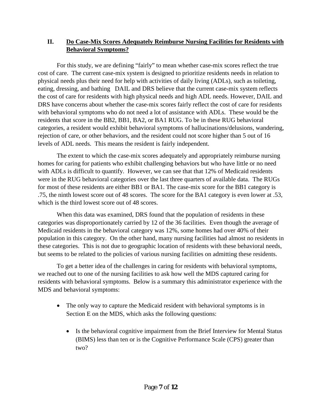## **II. Do Case-Mix Scores Adequately Reimburse Nursing Facilities for Residents with Behavioral Symptoms?**

For this study, we are defining "fairly" to mean whether case-mix scores reflect the true cost of care. The current case-mix system is designed to prioritize residents needs in relation to physical needs plus their need for help with activities of daily living (ADLs), such as toileting, eating, dressing, and bathing DAIL and DRS believe that the current case-mix system reflects the cost of care for residents with high physical needs and high ADL needs. However, DAIL and DRS have concerns about whether the case-mix scores fairly reflect the cost of care for residents with behavioral symptoms who do not need a lot of assistance with ADLs. These would be the residents that score in the BB2, BB1, BA2, or BA1 RUG. To be in these RUG behavioral categories, a resident would exhibit behavioral symptoms of hallucinations/delusions, wandering, rejection of care, or other behaviors, and the resident could not score higher than 5 out of 16 levels of ADL needs. This means the resident is fairly independent.

The extent to which the case-mix scores adequately and appropriately reimburse nursing homes for caring for patients who exhibit challenging behaviors but who have little or no need with ADLs is difficult to quantify. However, we can see that that 12% of Medicaid residents were in the RUG behavioral categories over the last three quarters of available data. The RUGs for most of these residents are either BB1 or BA1. The case-mix score for the BB1 category is .75, the ninth lowest score out of 48 scores. The score for the BA1 category is even lower at .53, which is the third lowest score out of 48 scores.

When this data was examined, DRS found that the population of residents in these categories was disproportionately carried by 12 of the 36 facilities. Even though the average of Medicaid residents in the behavioral category was 12%, some homes had over 40% of their population in this category. On the other hand, many nursing facilities had almost no residents in these categories. This is not due to geographic location of residents with these behavioral needs, but seems to be related to the policies of various nursing facilities on admitting these residents.

To get a better idea of the challenges in caring for residents with behavioral symptoms, we reached out to one of the nursing facilities to ask how well the MDS captured caring for residents with behavioral symptoms. Below is a summary this administrator experience with the MDS and behavioral symptoms:

- The only way to capture the Medicaid resident with behavioral symptoms is in Section E on the MDS, which asks the following questions:
	- Is the behavioral cognitive impairment from the Brief Interview for Mental Status (BIMS) less than ten or is the Cognitive Performance Scale (CPS) greater than two?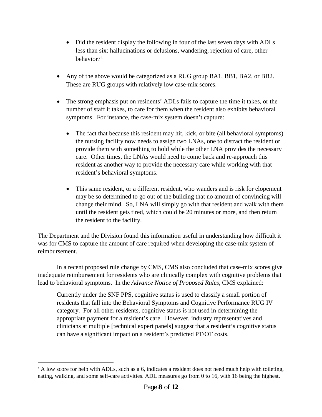- Did the resident display the following in four of the last seven days with ADLs less than six: hallucinations or delusions, wandering, rejection of care, other behavior?[1](#page-7-0)
- Any of the above would be categorized as a RUG group BA1, BB1, BA2, or BB2. These are RUG groups with relatively low case-mix scores.
- The strong emphasis put on residents' ADLs fails to capture the time it takes, or the number of staff it takes, to care for them when the resident also exhibits behavioral symptoms. For instance, the case-mix system doesn't capture:
	- The fact that because this resident may hit, kick, or bite (all behavioral symptoms) the nursing facility now needs to assign two LNAs, one to distract the resident or provide them with something to hold while the other LNA provides the necessary care. Other times, the LNAs would need to come back and re-approach this resident as another way to provide the necessary care while working with that resident's behavioral symptoms.
	- This same resident, or a different resident, who wanders and is risk for elopement may be so determined to go out of the building that no amount of convincing will change their mind. So, LNA will simply go with that resident and walk with them until the resident gets tired, which could be 20 minutes or more, and then return the resident to the facility.

The Department and the Division found this information useful in understanding how difficult it was for CMS to capture the amount of care required when developing the case-mix system of reimbursement.

In a recent proposed rule change by CMS, CMS also concluded that case-mix scores give inadequate reimbursement for residents who are clinically complex with cognitive problems that lead to behavioral symptoms. In the *Advance Notice of Proposed Rules*, CMS explained:

Currently under the SNF PPS, cognitive status is used to classify a small portion of residents that fall into the Behavioral Symptoms and Cognitive Performance RUG IV category. For all other residents, cognitive status is not used in determining the appropriate payment for a resident's care. However, industry representatives and clinicians at multiple [technical expert panels] suggest that a resident's cognitive status can have a significant impact on a resident's predicted PT/OT costs.

<span id="page-7-0"></span>I <sup>1</sup> A low score for help with ADLs, such as a 6, indicates a resident does not need much help with toileting, eating, walking, and some self-care activities. ADL measures go from 0 to 16, with 16 being the highest.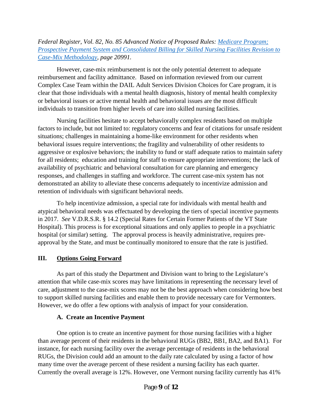*Federal Register, Vol. 82, No. 85 Advanced Notice of Proposed Rules: [Medicare Program;](https://www.gpo.gov/fdsys/pkg/FR-2017-05-04/pdf/2017-08519.pdf)  [Prospective Payment System and Consolidated Billing for Skilled Nursing Facilities Revision to](https://www.gpo.gov/fdsys/pkg/FR-2017-05-04/pdf/2017-08519.pdf)  [Case-Mix Methodology,](https://www.gpo.gov/fdsys/pkg/FR-2017-05-04/pdf/2017-08519.pdf) page 20991.* 

However, case-mix reimbursement is not the only potential deterrent to adequate reimbursement and facility admittance. Based on information reviewed from our current Complex Case Team within the DAIL Adult Services Division Choices for Care program, it is clear that those individuals with a mental health diagnosis, history of mental health complexity or behavioral issues or active mental health and behavioral issues are the most difficult individuals to transition from higher levels of care into skilled nursing facilities.

Nursing facilities hesitate to accept behaviorally complex residents based on multiple factors to include, but not limited to: regulatory concerns and fear of citations for unsafe resident situations; challenges in maintaining a home-like environment for other residents when behavioral issues require interventions; the fragility and vulnerability of other residents to aggressive or explosive behaviors; the inability to fund or staff adequate ratios to maintain safety for all residents; education and training for staff to ensure appropriate interventions; the lack of availability of psychiatric and behavioral consultation for care planning and emergency responses, and challenges in staffing and workforce. The current case-mix system has not demonstrated an ability to alleviate these concerns adequately to incentivize admission and retention of individuals with significant behavioral needs.

To help incentivize admission, a special rate for individuals with mental health and atypical behavioral needs was effectuated by developing the tiers of special incentive payments in 2017. *See* V.D.R.S.R. § 14.2 [\(Special Rates for Certain Former Patients of the VT State](http://humanservices.vermont.gov/departments/office-of-the-secretary/ahs-drs/nursing-homes/adopted-rule-effective-6march2015.pdf)  [Hospital\)](http://humanservices.vermont.gov/departments/office-of-the-secretary/ahs-drs/nursing-homes/adopted-rule-effective-6march2015.pdf). This process is for exceptional situations and only applies to people in a psychiatric hospital (or similar) setting. The approval process is heavily administrative, requires preapproval by the State, and must be continually monitored to ensure that the rate is justified.

## **III. Options Going Forward**

As part of this study the Department and Division want to bring to the Legislature's attention that while case-mix scores may have limitations in representing the necessary level of care, adjustment to the case-mix scores may not be the best approach when considering how best to support skilled nursing facilities and enable them to provide necessary care for Vermonters. However, we do offer a few options with analysis of impact for your consideration.

## **A. Create an Incentive Payment**

One option is to create an incentive payment for those nursing facilities with a higher than average percent of their residents in the behavioral RUGs (BB2, BB1, BA2, and BA1). For instance, for each nursing facility over the average percentage of residents in the behavioral RUGs, the Division could add an amount to the daily rate calculated by using a factor of how many time over the average percent of these resident a nursing facility has each quarter. Currently the overall average is 12%. However, one Vermont nursing facility currently has 41%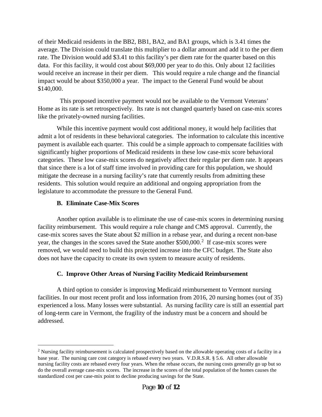of their Medicaid residents in the BB2, BB1, BA2, and BA1 groups, which is 3.41 times the average. The Division could translate this multiplier to a dollar amount and add it to the per diem rate. The Division would add \$3.41 to this facility's per diem rate for the quarter based on this data. For this facility, it would cost about \$69,000 per year to do this. Only about 12 facilities would receive an increase in their per diem. This would require a rule change and the financial impact would be about \$350,000 a year. The impact to the General Fund would be about \$140,000.

This proposed incentive payment would not be available to the Vermont Veterans' Home as its rate is set retrospectively. Its rate is not changed quarterly based on case-mix scores like the privately-owned nursing facilities.

While this incentive payment would cost additional money, it would help facilities that admit a lot of residents in these behavioral categories. The information to calculate this incentive payment is available each quarter. This could be a simple approach to compensate facilities with significantly higher proportions of Medicaid residents in these low case-mix score behavioral categories. These low case-mix scores do negatively affect their regular per diem rate. It appears that since there is a lot of staff time involved in providing care for this population, we should mitigate the decrease in a nursing facility's rate that currently results from admitting these residents. This solution would require an additional and ongoing appropriation from the legislature to accommodate the pressure to the General Fund.

#### **B. Eliminate Case-Mix Scores**

I

Another option available is to eliminate the use of case-mix scores in determining nursing facility reimbursement. This would require a rule change and CMS approval. Currently, the case-mix scores saves the State about \$2 million in a rebase year, and during a recent non-base year, the changes in the scores saved the State another \$500,000.<sup>[2](#page-9-0)</sup> If case-mix scores were removed, we would need to build this projected increase into the CFC budget. The State also does not have the capacity to create its own system to measure acuity of residents.

## **C. Improve Other Areas of Nursing Facility Medicaid Reimbursement**

A third option to consider is improving Medicaid reimbursement to Vermont nursing facilities. In our most recent profit and loss information from 2016, 20 nursing homes (out of 35) experienced a loss. Many losses were substantial. As nursing facility care is still an essential part of long-term care in Vermont, the fragility of the industry must be a concern and should be addressed.

<span id="page-9-0"></span><sup>&</sup>lt;sup>2</sup> Nursing facility reimbursement is calculated prospectively based on the allowable operating costs of a facility in a base year. The nursing care cost category is rebased every two years. V.D.R.S.R. § 5.6. All other allowable nursing facility costs are rebased every four years. When the rebase occurs, the nursing costs generally go up but so do the overall average case-mix scores. The increase in the scores of the total population of the homes causes the standardized cost per case-mix point to decline producing savings for the State.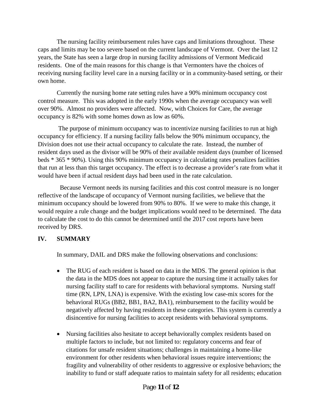The nursing facility reimbursement rules have caps and limitations throughout. These caps and limits may be too severe based on the current landscape of Vermont. Over the last 12 years, the State has seen a large drop in nursing facility admissions of Vermont Medicaid residents. One of the main reasons for this change is that Vermonters have the choices of receiving nursing facility level care in a nursing facility or in a community-based setting, or their own home.

Currently the nursing home rate setting rules have a 90% minimum occupancy cost control measure. This was adopted in the early 1990s when the average occupancy was well over 90%. Almost no providers were affected. Now, with Choices for Care, the average occupancy is 82% with some homes down as low as 60%.

The purpose of minimum occupancy was to incentivize nursing facilities to run at high occupancy for efficiency. If a nursing facility falls below the 90% minimum occupancy, the Division does not use their actual occupancy to calculate the rate. Instead, the number of resident days used as the divisor will be 90% of their available resident days (number of licensed beds \* 365 \* 90%). Using this 90% minimum occupancy in calculating rates penalizes facilities that run at less than this target occupancy. The effect is to decrease a provider's rate from what it would have been if actual resident days had been used in the rate calculation.

 Because Vermont needs its nursing facilities and this cost control measure is no longer reflective of the landscape of occupancy of Vermont nursing facilities, we believe that the minimum occupancy should be lowered from 90% to 80%. If we were to make this change, it would require a rule change and the budget implications would need to be determined. The data to calculate the cost to do this cannot be determined until the 2017 cost reports have been received by DRS.

## **IV. SUMMARY**

In summary, DAIL and DRS make the following observations and conclusions:

- The RUG of each resident is based on data in the MDS. The general opinion is that the data in the MDS does not appear to capture the nursing time it actually takes for nursing facility staff to care for residents with behavioral symptoms. Nursing staff time (RN, LPN, LNA) is expensive. With the existing low case-mix scores for the behavioral RUGs (BB2, BB1, BA2, BA1), reimbursement to the facility would be negatively affected by having residents in these categories. This system is currently a disincentive for nursing facilities to accept residents with behavioral symptoms.
- Nursing facilities also hesitate to accept behaviorally complex residents based on multiple factors to include, but not limited to: regulatory concerns and fear of citations for unsafe resident situations; challenges in maintaining a home-like environment for other residents when behavioral issues require interventions; the fragility and vulnerability of other residents to aggressive or explosive behaviors; the inability to fund or staff adequate ratios to maintain safety for all residents; education